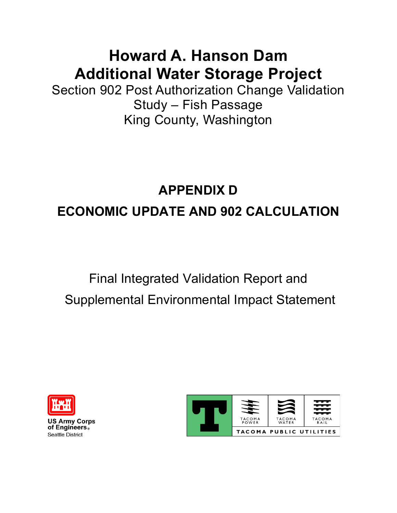### **Howard A. Hanson Dam Additional Water Storage Project**

Section 902 Post Authorization Change Validation Study – Fish Passage King County, Washington

# **APPENDIX D ECONOMIC UPDATE AND 902 CALCULATION**

# Final Integrated Validation Report and Supplemental Environmental Impact Statement



**US Army Corps** of Engineers. **Seattle District** 

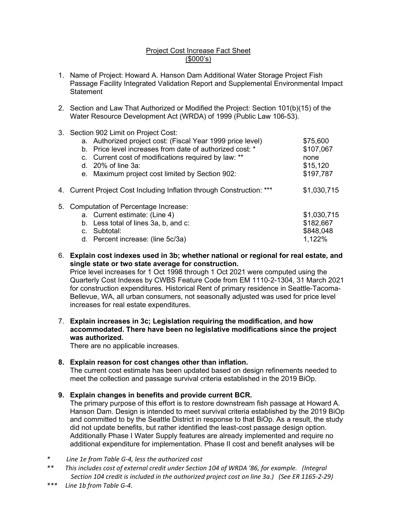#### Project Cost Increase Fact Sheet (\$000's)

- 1. Name of Project: Howard A. Hanson Dam Additional Water Storage Project Fish Passage Facility Integrated Validation Report and Supplemental Environmental Impact **Statement**
- 2. Section and Law That Authorized or Modified the Project: Section 101(b)(15) of the Water Resource Development Act (WRDA) of 1999 (Public Law 106-53).
- 3. Section 902 Limit on Project Cost:

| a. Authorized project cost: (Fiscal Year 1999 price level)<br>b. Price level increases from date of authorized cost: *<br>c. Current cost of modifications required by law: **<br>d. $20\%$ of line 3a:<br>e. Maximum project cost limited by Section 902: | \$75,600<br>\$107,067<br>none<br>\$15,120<br>\$197,787                |
|------------------------------------------------------------------------------------------------------------------------------------------------------------------------------------------------------------------------------------------------------------|-----------------------------------------------------------------------|
| 4. Current Project Cost Including Inflation through Construction: ***                                                                                                                                                                                      | \$1,030,715                                                           |
| 5. Computation of Percentage Increase:<br>a. Current estimate: (Line 4)<br>b. Less total of lines 3a, b, and c:<br>c. Subtotal:<br>$\Box$ Depending the suppose $(\Box_{\Box} \circ F \circ (\Omega_{\Box})$                                               | \$1,030,715<br>\$182,667<br>\$848,048<br>$\lambda$ $\lambda$ $\Omega$ |

- d. Percent increase: (line 5c/3a) 1,122%
- 6. Explain cost indexes used in 3b; whether national or regional for real estate, and single state or two state average for construction.

Price level increases for 1 Oct 1998 through 1 Oct 2021 were computed using the Quarterly Cost Indexes by CWBS Feature Code from EM 1110-2-1304, 31 March 2021 for construction expenditures. Historical Rent of primary residence in Seattle-Tacoma-Bellevue, WA, all urban consumers, not seasonally adjusted was used for price level increases for real estate expenditures.

7. Explain increases in 3c; Legislation requiring the modification, and how accommodated. There have been no legislative modifications since the project was authorized.

There are no applicable increases.

8. Explain reason for cost changes other than inflation.

The current cost estimate has been updated based on design refinements needed to meet the collection and passage survival criteria established in the 2019 BiOp.

9. Explain changes in benefits and provide current BCR.

The primary purpose of this effort is to restore downstream fish passage at Howard A. Hanson Dam. Design is intended to meet survival criteria established by the 2019 BiOp and committed to by the Seattle District in response to that BiOp. As a result, the study did not update benefits, but rather identified the least-cost passage design option. Additionally Phase I Water Supply features are already implemented and require no additional expenditure for implementation. Phase II cost and benefit analyses will be

\* Line 1e from Table G-4, less the authorized cost

\*\* This includes cost of external credit under Section 104 of WRDA '86, for example. (Integral Section 104 credit is included in the authorized project cost on line 3a.) (See ER 1165-2-29)<br>\*\*\* line 1h from Table G-4

Line 1b from Table G-4.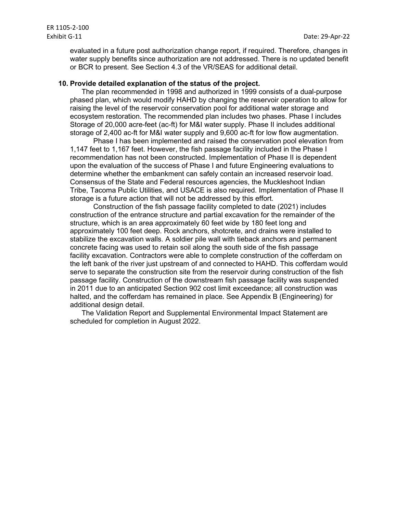evaluated in a future post authorization change report, if required. Therefore, changes in water supply benefits since authorization are not addressed. There is no updated benefit or BCR to present. See Section 4.3 of the VR/SEAS for additional detail.

#### 10. Provide detailed explanation of the status of the project.

The plan recommended in 1998 and authorized in 1999 consists of a dual-purpose phased plan, which would modify HAHD by changing the reservoir operation to allow for raising the level of the reservoir conservation pool for additional water storage and ecosystem restoration. The recommended plan includes two phases. Phase I includes Storage of 20,000 acre-feet (ac-ft) for M&I water supply. Phase II includes additional storage of 2,400 ac-ft for M&I water supply and 9,600 ac-ft for low flow augmentation.

Phase I has been implemented and raised the conservation pool elevation from 1,147 feet to 1,167 feet. However, the fish passage facility included in the Phase I recommendation has not been constructed. Implementation of Phase II is dependent upon the evaluation of the success of Phase I and future Engineering evaluations to determine whether the embankment can safely contain an increased reservoir load. Consensus of the State and Federal resources agencies, the Muckleshoot Indian Tribe, Tacoma Public Utilities, and USACE is also required. Implementation of Phase II storage is a future action that will not be addressed by this effort.

 Construction of the fish passage facility completed to date (2021) includes construction of the entrance structure and partial excavation for the remainder of the structure, which is an area approximately 60 feet wide by 180 feet long and approximately 100 feet deep. Rock anchors, shotcrete, and drains were installed to stabilize the excavation walls. A soldier pile wall with tieback anchors and permanent concrete facing was used to retain soil along the south side of the fish passage facility excavation. Contractors were able to complete construction of the cofferdam on the left bank of the river just upstream of and connected to HAHD. This cofferdam would serve to separate the construction site from the reservoir during construction of the fish passage facility. Construction of the downstream fish passage facility was suspended in 2011 due to an anticipated Section 902 cost limit exceedance; all construction was halted, and the cofferdam has remained in place. See Appendix B (Engineering) for additional design detail.

The Validation Report and Supplemental Environmental Impact Statement are scheduled for completion in August 2022.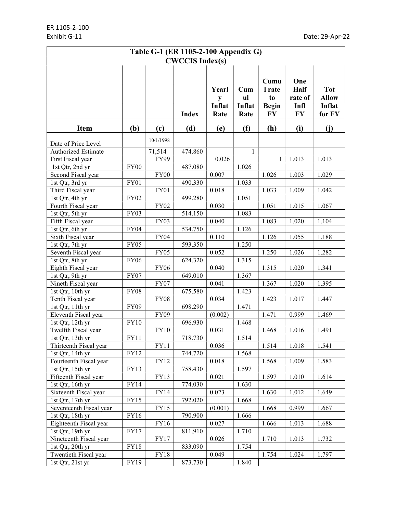| Table G-1 (ER 1105-2-100 Appendix G) |             |             |              |                              |                                      |                                            |                                             |                                                |  |
|--------------------------------------|-------------|-------------|--------------|------------------------------|--------------------------------------|--------------------------------------------|---------------------------------------------|------------------------------------------------|--|
| <b>CWCCIS Index(s)</b>               |             |             |              |                              |                                      |                                            |                                             |                                                |  |
|                                      |             |             | <b>Index</b> | Yearl<br>y<br>Inflat<br>Rate | $_{\rm Cum}$<br>ul<br>Inflat<br>Rate | Cumu<br>l rate<br>to<br><b>Begin</b><br>FY | One<br>Half<br>rate of<br>Infl<br><b>FY</b> | <b>Tot</b><br><b>Allow</b><br>Inflat<br>for FY |  |
| <b>Item</b>                          | (b)         | (c)         | (d)          | (e)                          | (f)                                  | (h)                                        | (i)                                         | (i)                                            |  |
| Date of Price Level                  |             | 10/1/1998   |              |                              |                                      |                                            |                                             |                                                |  |
| Authorized Estimate                  |             | 71,514      | 474.860      |                              | 1                                    |                                            |                                             |                                                |  |
| First Fiscal year                    |             | FY99        |              | 0.026                        |                                      | $\mathbf{1}$                               | 1.013                                       | 1.013                                          |  |
| 1st Qtr, 2nd yr                      | <b>FY00</b> |             | 487.080      |                              | 1.026                                |                                            |                                             |                                                |  |
| Second Fiscal year                   |             | FY00        |              | 0.007                        |                                      | 1.026                                      | 1.003                                       | 1.029                                          |  |
| 1st Qtr, 3rd yr                      | <b>FY01</b> |             | 490.330      |                              | 1.033                                |                                            |                                             |                                                |  |
| Third Fiscal year                    |             | <b>FY01</b> |              | 0.018                        |                                      | 1.033                                      | 1.009                                       | 1.042                                          |  |
| 1st Qtr, 4th yr                      | <b>FY02</b> |             | 499.280      |                              | 1.051                                |                                            |                                             |                                                |  |
| Fourth Fiscal year                   |             | <b>FY02</b> |              | 0.030                        |                                      | 1.051                                      | 1.015                                       | 1.067                                          |  |
| 1st Qtr, 5th yr                      | <b>FY03</b> |             | 514.150      |                              | 1.083                                |                                            |                                             |                                                |  |
| Fifth Fiscal year                    |             | <b>FY03</b> |              | 0.040                        |                                      | 1.083                                      | 1.020                                       | 1.104                                          |  |
| 1st Qtr, 6th yr                      | <b>FY04</b> |             | 534.750      |                              | 1.126                                |                                            |                                             |                                                |  |
| Sixth Fiscal year                    |             | <b>FY04</b> |              | 0.110                        |                                      | 1.126                                      | 1.055                                       | 1.188                                          |  |
| 1st Qtr, 7th yr                      | FY05        |             | 593.350      |                              | 1.250                                |                                            |                                             |                                                |  |
| Seventh Fiscal year                  |             | FY05        |              | 0.052                        |                                      | 1.250                                      | 1.026                                       | 1.282                                          |  |
| 1st Qtr, 8th yr                      | <b>FY06</b> |             | 624.320      |                              | 1.315                                |                                            |                                             |                                                |  |
| Eighth Fiscal year                   |             | <b>FY06</b> |              | 0.040                        |                                      | 1.315                                      | 1.020                                       | 1.341                                          |  |
| 1st Qtr, 9th yr                      | FY07        |             | 649.010      |                              | 1.367                                |                                            |                                             |                                                |  |
| Nineth Fiscal year                   |             | FY07        |              | 0.041                        |                                      | 1.367                                      | 1.020                                       | 1.395                                          |  |
| 1st Qtr, 10th yr                     | FY08        |             | 675.580      |                              | 1.423                                |                                            |                                             |                                                |  |
| Tenth Fiscal year                    |             | <b>FY08</b> |              | 0.034                        |                                      | 1.423                                      | 1.017                                       | 1.447                                          |  |
| 1st Qtr, 11th yr                     | <b>FY09</b> |             | 698.290      |                              | 1.471                                |                                            |                                             |                                                |  |
| Eleventh Fiscal year                 |             | <b>FY09</b> |              | (0.002)                      |                                      | 1.471                                      | 0.999                                       | 1.469                                          |  |
| 1st Qtr, 12th yr                     | <b>FY10</b> |             | 696.930      |                              | 1.468                                |                                            |                                             |                                                |  |
| Twelfth Fiscal year                  |             | <b>FY10</b> |              | 0.031                        |                                      | 1.468                                      | 1.016                                       | 1.491                                          |  |
| 1st Qtr, 13th yr                     | FY11        |             | 718.730      |                              | 1.514                                |                                            |                                             |                                                |  |
| Thirteenth Fiscal year               |             | FY11        |              | 0.036                        |                                      | 1.514                                      | 1.018                                       | 1.541                                          |  |
| 1st Qtr, 14th yr                     | FY12        |             | 744.720      |                              | 1.568                                |                                            |                                             |                                                |  |
| Fourteenth Fiscal year               |             | FY12        |              | 0.018                        |                                      | 1.568                                      | 1.009                                       | 1.583                                          |  |
| 1st Qtr, 15th yr                     | FY13        |             | 758.430      |                              | 1.597                                |                                            |                                             |                                                |  |
| Fifteenth Fiscal year                |             | FY13        |              | 0.021                        |                                      | 1.597                                      | 1.010                                       | 1.614                                          |  |
| 1st Qtr, 16th yr                     | FY14        |             | 774.030      |                              | 1.630                                |                                            |                                             |                                                |  |
| Sixteenth Fiscal year                |             | FY14        |              | 0.023                        |                                      | 1.630                                      | 1.012                                       | 1.649                                          |  |
| 1st Qtr, 17th yr                     | FY15        |             | 792.020      |                              | 1.668                                |                                            |                                             |                                                |  |
| Seventeenth Fiscal year              |             | FY15        |              | (0.001)                      |                                      | 1.668                                      | 0.999                                       | 1.667                                          |  |
| 1st Qtr, 18th yr                     | FY16        |             | 790.900      |                              | 1.666                                |                                            |                                             |                                                |  |
| Eighteenth Fiscal year               |             | FY16        |              | 0.027                        |                                      | 1.666                                      | 1.013                                       | 1.688                                          |  |
| 1st Qtr, 19th yr                     | $\rm FY17$  |             | 811.910      |                              | 1.710                                |                                            |                                             |                                                |  |
| Nineteenth Fiscal year               |             | FY17        |              | 0.026                        |                                      | 1.710                                      | 1.013                                       | 1.732                                          |  |
| 1st Qtr, 20th yr                     | <b>FY18</b> |             | 833.090      |                              | 1.754                                |                                            |                                             |                                                |  |
| Twentieth Fiscal year                |             | <b>FY18</b> |              | 0.049                        |                                      | 1.754                                      | 1.024                                       | 1.797                                          |  |
| 1st Qtr, 21st yr                     | FY19        |             | 873.730      |                              | 1.840                                |                                            |                                             |                                                |  |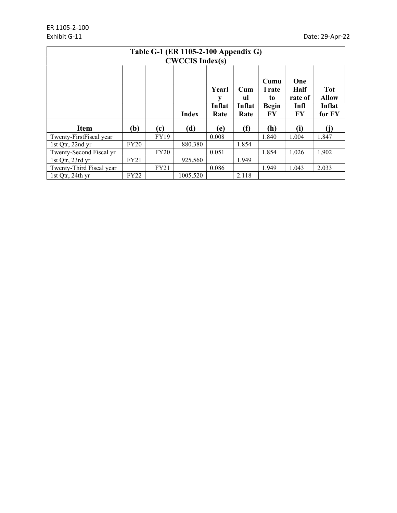| Table G-1 (ER 1105-2-100 Appendix G)      |                         |                                      |                                            |                                             |                                                |       |       |       |
|-------------------------------------------|-------------------------|--------------------------------------|--------------------------------------------|---------------------------------------------|------------------------------------------------|-------|-------|-------|
|                                           |                         |                                      | <b>CWCCIS Index(s)</b>                     |                                             |                                                |       |       |       |
|                                           | Yearl<br>Inflat<br>Rate | $_{\rm Cum}$<br>ul<br>Inflat<br>Rate | Cumu<br>l rate<br>to<br><b>Begin</b><br>FY | One<br><b>Half</b><br>rate of<br>Infl<br>FY | <b>Tot</b><br><b>Allow</b><br>Inflat<br>for FY |       |       |       |
| <b>Item</b>                               | (b)                     | (c)                                  | (d)                                        | (e)                                         | (f)                                            | (h)   | (i)   |       |
| Twenty-FirstFiscal year                   |                         | <b>FY19</b>                          |                                            | 0.008                                       |                                                | 1.840 | 1.004 | 1.847 |
| 1st Qtr, 22nd yr                          | <b>FY20</b>             |                                      | 880.380                                    |                                             | 1.854                                          |       |       |       |
| Twenty-Second Fiscal yr                   |                         | <b>FY20</b>                          |                                            | 0.051                                       |                                                | 1.854 | 1.026 | 1.902 |
| 1st Qtr, 23rd yr                          | <b>FY21</b>             |                                      | 925.560                                    |                                             | 1.949                                          |       |       |       |
| Twenty-Third Fiscal year<br>FY21<br>0.086 |                         |                                      |                                            | 1.949                                       | 1.043                                          | 2.033 |       |       |
| 1st Qtr, 24th yr                          | <b>FY22</b>             |                                      | 1005.520                                   |                                             | 2.118                                          |       |       |       |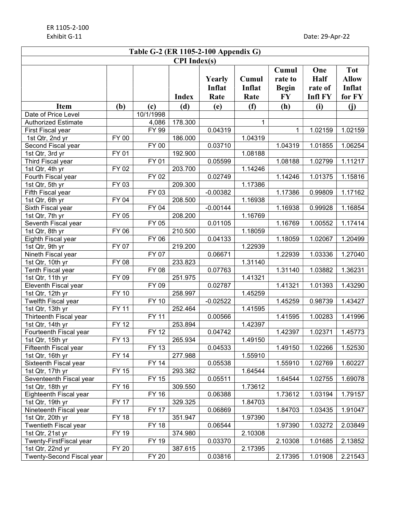| <b>CPI</b> Index(s)<br><b>Tot</b><br>Cumul<br>One<br>Cumul<br><b>Half</b><br><b>Allow</b><br>Yearly<br>rate to<br>Inflat<br>Inflat<br>Inflat<br><b>Begin</b><br>rate of<br>for FY<br><b>FY</b><br><b>Infl FY</b><br><b>Index</b><br>Rate<br>Rate<br>(f)<br>(h)<br>(b)<br>(d)<br>(e)<br>(i)<br>(i)<br><b>Item</b><br>(c)<br>10/1/1998<br>Date of Price Level<br>178.300<br><b>Authorized Estimate</b><br>4,086<br>1<br><b>FY 99</b><br>0.04319<br>1.02159<br>1.02159<br>First Fiscal year<br>1<br>FY 00<br>186.000<br>1.04319<br>1st Qtr, 2nd yr<br><b>FY 00</b><br>Second Fiscal year<br>0.03710<br>1.04319<br>1.01855<br>1.06254<br>192.900<br>FY 01<br>1.08188<br>1st Qtr, 3rd yr<br><b>FY 01</b><br>Third Fiscal year<br>0.05599<br>1.08188<br>1.02799<br>1.11217<br>203.700<br>1.14246<br>FY 02<br>1st Qtr, 4th yr<br><b>FY 02</b><br>Fourth Fiscal year<br>0.02749<br>1.14246<br>1.01375<br>1.15816<br>209.300<br><b>FY 03</b><br>1.17386<br>1st Qtr, 5th yr<br><b>FY 03</b><br>$-0.00382$<br>Fifth Fiscal year<br>1.17386<br>0.99809<br>1.17162<br>208.500<br>FY 04<br>1.16938<br>1st Qtr, 6th yr<br><b>FY 04</b><br>$-0.00144$<br>Sixth Fiscal year<br>1.16938<br>0.99928<br>1.16854<br>$\overline{F}$ Y 05<br>208.200<br>1.16769<br>1st Qtr, 7th yr<br>FY 05<br>0.01105<br>1.16769<br>1.00552<br>1.17414<br>Seventh Fiscal year<br>210.500<br>FY 06<br>1.18059<br>1st Qtr, 8th yr<br>FY 06<br>0.04133<br>1.18059<br>1.02067<br>1.20499<br>Eighth Fiscal year<br>FY 07<br>219.200<br>1.22939<br>1st Qtr, 9th yr<br>FY 07<br>Nineth Fiscal year<br>0.06671<br>1.22939<br>1.03336<br>1.27040<br>233.823<br>1.31140<br>1st Qtr, 10th yr<br>FY 08<br>FY 08<br>0.07763<br>1.31140<br>1.03882<br>1.36231<br>Tenth Fiscal year<br>251.975<br>1st Qtr, 11th yr<br>FY 09<br>1.41321<br>FY 09<br>0.02787<br>1.41321<br>1.01393<br>1.43290<br>Eleventh Fiscal year<br>$\overline{F}$ Y 10<br>258.997<br>1st Qtr, 12th yr<br>1.45259<br><b>FY 10</b><br>$-0.02522$<br>1.45259<br>0.98739<br>1.43427<br>Twelfth Fiscal year<br>$\overline{F}$ Y 11<br>252.464<br>1.41595<br>1st Qtr, 13th yr<br><b>FY 11</b><br>0.00566<br>1.41595<br>1.00283<br>1.41996<br>Thirteenth Fiscal year<br><b>FY 12</b><br>253.894<br>1.42397<br>1st Qtr, 14th yr<br><b>FY 12</b><br>0.04742<br>1.42397<br>1.02371<br>1.45773<br>Fourteenth Fiscal year<br>FY 13<br>265.934<br>1.49150<br>1st Qtr, 15th yr<br>FY 13<br>0.04533<br>1.02266<br>Fifteenth Fiscal year<br>1.49150<br>1.52530<br><b>FY 14</b><br>1.55910<br>1st Qtr, 16th yr<br>277.988<br><b>FY 14</b><br>0.05538<br>Sixteenth Fiscal year<br>1.55910<br>1.02769<br>1.60227<br>FY 15<br>293.382<br>1.64544<br>1st Qtr, 17th yr<br><b>FY 15</b><br>0.05511<br>Seventeenth Fiscal year<br>1.64544<br>1.02755<br>1.69078<br><b>FY 16</b><br>1.73612<br>1st Qtr, 18th yr<br>309.550<br><b>FY 16</b><br>0.06388<br>1.73612<br>1.03194<br>1.79157<br>Eighteenth Fiscal year<br><b>FY 17</b><br>329.325<br>1.84703<br>1st Qtr, 19th yr<br><b>FY 17</b><br>0.06869<br>Nineteenth Fiscal year<br>1.84703<br>1.03435<br>1.91047<br><b>FY 18</b><br>1.97390<br>351.947<br>1st Qtr, 20th yr<br><b>FY 18</b><br>0.06544<br>1.97390<br>1.03272<br>2.03849<br>Twentieth Fiscal year<br>FY 19<br>2.10308<br>1st Qtr, 21st yr<br>374.980<br>FY 19<br>0.03370<br>Twenty-FirstFiscal year<br>2.10308<br>1.01685<br>2.13852<br><b>FY 20</b><br>387.615<br>2.17395<br>1st Qtr, 22nd yr | Table G-2 (ER 1105-2-100 Appendix G) |  |              |  |         |  |         |         |         |
|----------------------------------------------------------------------------------------------------------------------------------------------------------------------------------------------------------------------------------------------------------------------------------------------------------------------------------------------------------------------------------------------------------------------------------------------------------------------------------------------------------------------------------------------------------------------------------------------------------------------------------------------------------------------------------------------------------------------------------------------------------------------------------------------------------------------------------------------------------------------------------------------------------------------------------------------------------------------------------------------------------------------------------------------------------------------------------------------------------------------------------------------------------------------------------------------------------------------------------------------------------------------------------------------------------------------------------------------------------------------------------------------------------------------------------------------------------------------------------------------------------------------------------------------------------------------------------------------------------------------------------------------------------------------------------------------------------------------------------------------------------------------------------------------------------------------------------------------------------------------------------------------------------------------------------------------------------------------------------------------------------------------------------------------------------------------------------------------------------------------------------------------------------------------------------------------------------------------------------------------------------------------------------------------------------------------------------------------------------------------------------------------------------------------------------------------------------------------------------------------------------------------------------------------------------------------------------------------------------------------------------------------------------------------------------------------------------------------------------------------------------------------------------------------------------------------------------------------------------------------------------------------------------------------------------------------------------------------------------------------------------------------------------------------------------------------------------------------------------------------------------------------------------------------------------------------------------------------------------------------------------------------------------------------------------------------------------------------------------------------------------------------------|--------------------------------------|--|--------------|--|---------|--|---------|---------|---------|
|                                                                                                                                                                                                                                                                                                                                                                                                                                                                                                                                                                                                                                                                                                                                                                                                                                                                                                                                                                                                                                                                                                                                                                                                                                                                                                                                                                                                                                                                                                                                                                                                                                                                                                                                                                                                                                                                                                                                                                                                                                                                                                                                                                                                                                                                                                                                                                                                                                                                                                                                                                                                                                                                                                                                                                                                                                                                                                                                                                                                                                                                                                                                                                                                                                                                                                                                                                                                    |                                      |  |              |  |         |  |         |         |         |
|                                                                                                                                                                                                                                                                                                                                                                                                                                                                                                                                                                                                                                                                                                                                                                                                                                                                                                                                                                                                                                                                                                                                                                                                                                                                                                                                                                                                                                                                                                                                                                                                                                                                                                                                                                                                                                                                                                                                                                                                                                                                                                                                                                                                                                                                                                                                                                                                                                                                                                                                                                                                                                                                                                                                                                                                                                                                                                                                                                                                                                                                                                                                                                                                                                                                                                                                                                                                    |                                      |  |              |  |         |  |         |         |         |
|                                                                                                                                                                                                                                                                                                                                                                                                                                                                                                                                                                                                                                                                                                                                                                                                                                                                                                                                                                                                                                                                                                                                                                                                                                                                                                                                                                                                                                                                                                                                                                                                                                                                                                                                                                                                                                                                                                                                                                                                                                                                                                                                                                                                                                                                                                                                                                                                                                                                                                                                                                                                                                                                                                                                                                                                                                                                                                                                                                                                                                                                                                                                                                                                                                                                                                                                                                                                    |                                      |  |              |  |         |  |         |         |         |
|                                                                                                                                                                                                                                                                                                                                                                                                                                                                                                                                                                                                                                                                                                                                                                                                                                                                                                                                                                                                                                                                                                                                                                                                                                                                                                                                                                                                                                                                                                                                                                                                                                                                                                                                                                                                                                                                                                                                                                                                                                                                                                                                                                                                                                                                                                                                                                                                                                                                                                                                                                                                                                                                                                                                                                                                                                                                                                                                                                                                                                                                                                                                                                                                                                                                                                                                                                                                    |                                      |  |              |  |         |  |         |         |         |
|                                                                                                                                                                                                                                                                                                                                                                                                                                                                                                                                                                                                                                                                                                                                                                                                                                                                                                                                                                                                                                                                                                                                                                                                                                                                                                                                                                                                                                                                                                                                                                                                                                                                                                                                                                                                                                                                                                                                                                                                                                                                                                                                                                                                                                                                                                                                                                                                                                                                                                                                                                                                                                                                                                                                                                                                                                                                                                                                                                                                                                                                                                                                                                                                                                                                                                                                                                                                    |                                      |  |              |  |         |  |         |         |         |
|                                                                                                                                                                                                                                                                                                                                                                                                                                                                                                                                                                                                                                                                                                                                                                                                                                                                                                                                                                                                                                                                                                                                                                                                                                                                                                                                                                                                                                                                                                                                                                                                                                                                                                                                                                                                                                                                                                                                                                                                                                                                                                                                                                                                                                                                                                                                                                                                                                                                                                                                                                                                                                                                                                                                                                                                                                                                                                                                                                                                                                                                                                                                                                                                                                                                                                                                                                                                    |                                      |  |              |  |         |  |         |         |         |
|                                                                                                                                                                                                                                                                                                                                                                                                                                                                                                                                                                                                                                                                                                                                                                                                                                                                                                                                                                                                                                                                                                                                                                                                                                                                                                                                                                                                                                                                                                                                                                                                                                                                                                                                                                                                                                                                                                                                                                                                                                                                                                                                                                                                                                                                                                                                                                                                                                                                                                                                                                                                                                                                                                                                                                                                                                                                                                                                                                                                                                                                                                                                                                                                                                                                                                                                                                                                    |                                      |  |              |  |         |  |         |         |         |
|                                                                                                                                                                                                                                                                                                                                                                                                                                                                                                                                                                                                                                                                                                                                                                                                                                                                                                                                                                                                                                                                                                                                                                                                                                                                                                                                                                                                                                                                                                                                                                                                                                                                                                                                                                                                                                                                                                                                                                                                                                                                                                                                                                                                                                                                                                                                                                                                                                                                                                                                                                                                                                                                                                                                                                                                                                                                                                                                                                                                                                                                                                                                                                                                                                                                                                                                                                                                    |                                      |  |              |  |         |  |         |         |         |
|                                                                                                                                                                                                                                                                                                                                                                                                                                                                                                                                                                                                                                                                                                                                                                                                                                                                                                                                                                                                                                                                                                                                                                                                                                                                                                                                                                                                                                                                                                                                                                                                                                                                                                                                                                                                                                                                                                                                                                                                                                                                                                                                                                                                                                                                                                                                                                                                                                                                                                                                                                                                                                                                                                                                                                                                                                                                                                                                                                                                                                                                                                                                                                                                                                                                                                                                                                                                    |                                      |  |              |  |         |  |         |         |         |
|                                                                                                                                                                                                                                                                                                                                                                                                                                                                                                                                                                                                                                                                                                                                                                                                                                                                                                                                                                                                                                                                                                                                                                                                                                                                                                                                                                                                                                                                                                                                                                                                                                                                                                                                                                                                                                                                                                                                                                                                                                                                                                                                                                                                                                                                                                                                                                                                                                                                                                                                                                                                                                                                                                                                                                                                                                                                                                                                                                                                                                                                                                                                                                                                                                                                                                                                                                                                    |                                      |  |              |  |         |  |         |         |         |
|                                                                                                                                                                                                                                                                                                                                                                                                                                                                                                                                                                                                                                                                                                                                                                                                                                                                                                                                                                                                                                                                                                                                                                                                                                                                                                                                                                                                                                                                                                                                                                                                                                                                                                                                                                                                                                                                                                                                                                                                                                                                                                                                                                                                                                                                                                                                                                                                                                                                                                                                                                                                                                                                                                                                                                                                                                                                                                                                                                                                                                                                                                                                                                                                                                                                                                                                                                                                    |                                      |  |              |  |         |  |         |         |         |
|                                                                                                                                                                                                                                                                                                                                                                                                                                                                                                                                                                                                                                                                                                                                                                                                                                                                                                                                                                                                                                                                                                                                                                                                                                                                                                                                                                                                                                                                                                                                                                                                                                                                                                                                                                                                                                                                                                                                                                                                                                                                                                                                                                                                                                                                                                                                                                                                                                                                                                                                                                                                                                                                                                                                                                                                                                                                                                                                                                                                                                                                                                                                                                                                                                                                                                                                                                                                    |                                      |  |              |  |         |  |         |         |         |
|                                                                                                                                                                                                                                                                                                                                                                                                                                                                                                                                                                                                                                                                                                                                                                                                                                                                                                                                                                                                                                                                                                                                                                                                                                                                                                                                                                                                                                                                                                                                                                                                                                                                                                                                                                                                                                                                                                                                                                                                                                                                                                                                                                                                                                                                                                                                                                                                                                                                                                                                                                                                                                                                                                                                                                                                                                                                                                                                                                                                                                                                                                                                                                                                                                                                                                                                                                                                    |                                      |  |              |  |         |  |         |         |         |
|                                                                                                                                                                                                                                                                                                                                                                                                                                                                                                                                                                                                                                                                                                                                                                                                                                                                                                                                                                                                                                                                                                                                                                                                                                                                                                                                                                                                                                                                                                                                                                                                                                                                                                                                                                                                                                                                                                                                                                                                                                                                                                                                                                                                                                                                                                                                                                                                                                                                                                                                                                                                                                                                                                                                                                                                                                                                                                                                                                                                                                                                                                                                                                                                                                                                                                                                                                                                    |                                      |  |              |  |         |  |         |         |         |
|                                                                                                                                                                                                                                                                                                                                                                                                                                                                                                                                                                                                                                                                                                                                                                                                                                                                                                                                                                                                                                                                                                                                                                                                                                                                                                                                                                                                                                                                                                                                                                                                                                                                                                                                                                                                                                                                                                                                                                                                                                                                                                                                                                                                                                                                                                                                                                                                                                                                                                                                                                                                                                                                                                                                                                                                                                                                                                                                                                                                                                                                                                                                                                                                                                                                                                                                                                                                    |                                      |  |              |  |         |  |         |         |         |
|                                                                                                                                                                                                                                                                                                                                                                                                                                                                                                                                                                                                                                                                                                                                                                                                                                                                                                                                                                                                                                                                                                                                                                                                                                                                                                                                                                                                                                                                                                                                                                                                                                                                                                                                                                                                                                                                                                                                                                                                                                                                                                                                                                                                                                                                                                                                                                                                                                                                                                                                                                                                                                                                                                                                                                                                                                                                                                                                                                                                                                                                                                                                                                                                                                                                                                                                                                                                    |                                      |  |              |  |         |  |         |         |         |
|                                                                                                                                                                                                                                                                                                                                                                                                                                                                                                                                                                                                                                                                                                                                                                                                                                                                                                                                                                                                                                                                                                                                                                                                                                                                                                                                                                                                                                                                                                                                                                                                                                                                                                                                                                                                                                                                                                                                                                                                                                                                                                                                                                                                                                                                                                                                                                                                                                                                                                                                                                                                                                                                                                                                                                                                                                                                                                                                                                                                                                                                                                                                                                                                                                                                                                                                                                                                    |                                      |  |              |  |         |  |         |         |         |
|                                                                                                                                                                                                                                                                                                                                                                                                                                                                                                                                                                                                                                                                                                                                                                                                                                                                                                                                                                                                                                                                                                                                                                                                                                                                                                                                                                                                                                                                                                                                                                                                                                                                                                                                                                                                                                                                                                                                                                                                                                                                                                                                                                                                                                                                                                                                                                                                                                                                                                                                                                                                                                                                                                                                                                                                                                                                                                                                                                                                                                                                                                                                                                                                                                                                                                                                                                                                    |                                      |  |              |  |         |  |         |         |         |
|                                                                                                                                                                                                                                                                                                                                                                                                                                                                                                                                                                                                                                                                                                                                                                                                                                                                                                                                                                                                                                                                                                                                                                                                                                                                                                                                                                                                                                                                                                                                                                                                                                                                                                                                                                                                                                                                                                                                                                                                                                                                                                                                                                                                                                                                                                                                                                                                                                                                                                                                                                                                                                                                                                                                                                                                                                                                                                                                                                                                                                                                                                                                                                                                                                                                                                                                                                                                    |                                      |  |              |  |         |  |         |         |         |
|                                                                                                                                                                                                                                                                                                                                                                                                                                                                                                                                                                                                                                                                                                                                                                                                                                                                                                                                                                                                                                                                                                                                                                                                                                                                                                                                                                                                                                                                                                                                                                                                                                                                                                                                                                                                                                                                                                                                                                                                                                                                                                                                                                                                                                                                                                                                                                                                                                                                                                                                                                                                                                                                                                                                                                                                                                                                                                                                                                                                                                                                                                                                                                                                                                                                                                                                                                                                    |                                      |  |              |  |         |  |         |         |         |
|                                                                                                                                                                                                                                                                                                                                                                                                                                                                                                                                                                                                                                                                                                                                                                                                                                                                                                                                                                                                                                                                                                                                                                                                                                                                                                                                                                                                                                                                                                                                                                                                                                                                                                                                                                                                                                                                                                                                                                                                                                                                                                                                                                                                                                                                                                                                                                                                                                                                                                                                                                                                                                                                                                                                                                                                                                                                                                                                                                                                                                                                                                                                                                                                                                                                                                                                                                                                    |                                      |  |              |  |         |  |         |         |         |
|                                                                                                                                                                                                                                                                                                                                                                                                                                                                                                                                                                                                                                                                                                                                                                                                                                                                                                                                                                                                                                                                                                                                                                                                                                                                                                                                                                                                                                                                                                                                                                                                                                                                                                                                                                                                                                                                                                                                                                                                                                                                                                                                                                                                                                                                                                                                                                                                                                                                                                                                                                                                                                                                                                                                                                                                                                                                                                                                                                                                                                                                                                                                                                                                                                                                                                                                                                                                    |                                      |  |              |  |         |  |         |         |         |
|                                                                                                                                                                                                                                                                                                                                                                                                                                                                                                                                                                                                                                                                                                                                                                                                                                                                                                                                                                                                                                                                                                                                                                                                                                                                                                                                                                                                                                                                                                                                                                                                                                                                                                                                                                                                                                                                                                                                                                                                                                                                                                                                                                                                                                                                                                                                                                                                                                                                                                                                                                                                                                                                                                                                                                                                                                                                                                                                                                                                                                                                                                                                                                                                                                                                                                                                                                                                    |                                      |  |              |  |         |  |         |         |         |
|                                                                                                                                                                                                                                                                                                                                                                                                                                                                                                                                                                                                                                                                                                                                                                                                                                                                                                                                                                                                                                                                                                                                                                                                                                                                                                                                                                                                                                                                                                                                                                                                                                                                                                                                                                                                                                                                                                                                                                                                                                                                                                                                                                                                                                                                                                                                                                                                                                                                                                                                                                                                                                                                                                                                                                                                                                                                                                                                                                                                                                                                                                                                                                                                                                                                                                                                                                                                    |                                      |  |              |  |         |  |         |         |         |
|                                                                                                                                                                                                                                                                                                                                                                                                                                                                                                                                                                                                                                                                                                                                                                                                                                                                                                                                                                                                                                                                                                                                                                                                                                                                                                                                                                                                                                                                                                                                                                                                                                                                                                                                                                                                                                                                                                                                                                                                                                                                                                                                                                                                                                                                                                                                                                                                                                                                                                                                                                                                                                                                                                                                                                                                                                                                                                                                                                                                                                                                                                                                                                                                                                                                                                                                                                                                    |                                      |  |              |  |         |  |         |         |         |
|                                                                                                                                                                                                                                                                                                                                                                                                                                                                                                                                                                                                                                                                                                                                                                                                                                                                                                                                                                                                                                                                                                                                                                                                                                                                                                                                                                                                                                                                                                                                                                                                                                                                                                                                                                                                                                                                                                                                                                                                                                                                                                                                                                                                                                                                                                                                                                                                                                                                                                                                                                                                                                                                                                                                                                                                                                                                                                                                                                                                                                                                                                                                                                                                                                                                                                                                                                                                    |                                      |  |              |  |         |  |         |         |         |
|                                                                                                                                                                                                                                                                                                                                                                                                                                                                                                                                                                                                                                                                                                                                                                                                                                                                                                                                                                                                                                                                                                                                                                                                                                                                                                                                                                                                                                                                                                                                                                                                                                                                                                                                                                                                                                                                                                                                                                                                                                                                                                                                                                                                                                                                                                                                                                                                                                                                                                                                                                                                                                                                                                                                                                                                                                                                                                                                                                                                                                                                                                                                                                                                                                                                                                                                                                                                    |                                      |  |              |  |         |  |         |         |         |
|                                                                                                                                                                                                                                                                                                                                                                                                                                                                                                                                                                                                                                                                                                                                                                                                                                                                                                                                                                                                                                                                                                                                                                                                                                                                                                                                                                                                                                                                                                                                                                                                                                                                                                                                                                                                                                                                                                                                                                                                                                                                                                                                                                                                                                                                                                                                                                                                                                                                                                                                                                                                                                                                                                                                                                                                                                                                                                                                                                                                                                                                                                                                                                                                                                                                                                                                                                                                    |                                      |  |              |  |         |  |         |         |         |
|                                                                                                                                                                                                                                                                                                                                                                                                                                                                                                                                                                                                                                                                                                                                                                                                                                                                                                                                                                                                                                                                                                                                                                                                                                                                                                                                                                                                                                                                                                                                                                                                                                                                                                                                                                                                                                                                                                                                                                                                                                                                                                                                                                                                                                                                                                                                                                                                                                                                                                                                                                                                                                                                                                                                                                                                                                                                                                                                                                                                                                                                                                                                                                                                                                                                                                                                                                                                    |                                      |  |              |  |         |  |         |         |         |
|                                                                                                                                                                                                                                                                                                                                                                                                                                                                                                                                                                                                                                                                                                                                                                                                                                                                                                                                                                                                                                                                                                                                                                                                                                                                                                                                                                                                                                                                                                                                                                                                                                                                                                                                                                                                                                                                                                                                                                                                                                                                                                                                                                                                                                                                                                                                                                                                                                                                                                                                                                                                                                                                                                                                                                                                                                                                                                                                                                                                                                                                                                                                                                                                                                                                                                                                                                                                    |                                      |  |              |  |         |  |         |         |         |
|                                                                                                                                                                                                                                                                                                                                                                                                                                                                                                                                                                                                                                                                                                                                                                                                                                                                                                                                                                                                                                                                                                                                                                                                                                                                                                                                                                                                                                                                                                                                                                                                                                                                                                                                                                                                                                                                                                                                                                                                                                                                                                                                                                                                                                                                                                                                                                                                                                                                                                                                                                                                                                                                                                                                                                                                                                                                                                                                                                                                                                                                                                                                                                                                                                                                                                                                                                                                    |                                      |  |              |  |         |  |         |         |         |
|                                                                                                                                                                                                                                                                                                                                                                                                                                                                                                                                                                                                                                                                                                                                                                                                                                                                                                                                                                                                                                                                                                                                                                                                                                                                                                                                                                                                                                                                                                                                                                                                                                                                                                                                                                                                                                                                                                                                                                                                                                                                                                                                                                                                                                                                                                                                                                                                                                                                                                                                                                                                                                                                                                                                                                                                                                                                                                                                                                                                                                                                                                                                                                                                                                                                                                                                                                                                    |                                      |  |              |  |         |  |         |         |         |
|                                                                                                                                                                                                                                                                                                                                                                                                                                                                                                                                                                                                                                                                                                                                                                                                                                                                                                                                                                                                                                                                                                                                                                                                                                                                                                                                                                                                                                                                                                                                                                                                                                                                                                                                                                                                                                                                                                                                                                                                                                                                                                                                                                                                                                                                                                                                                                                                                                                                                                                                                                                                                                                                                                                                                                                                                                                                                                                                                                                                                                                                                                                                                                                                                                                                                                                                                                                                    |                                      |  |              |  |         |  |         |         |         |
|                                                                                                                                                                                                                                                                                                                                                                                                                                                                                                                                                                                                                                                                                                                                                                                                                                                                                                                                                                                                                                                                                                                                                                                                                                                                                                                                                                                                                                                                                                                                                                                                                                                                                                                                                                                                                                                                                                                                                                                                                                                                                                                                                                                                                                                                                                                                                                                                                                                                                                                                                                                                                                                                                                                                                                                                                                                                                                                                                                                                                                                                                                                                                                                                                                                                                                                                                                                                    |                                      |  |              |  |         |  |         |         |         |
|                                                                                                                                                                                                                                                                                                                                                                                                                                                                                                                                                                                                                                                                                                                                                                                                                                                                                                                                                                                                                                                                                                                                                                                                                                                                                                                                                                                                                                                                                                                                                                                                                                                                                                                                                                                                                                                                                                                                                                                                                                                                                                                                                                                                                                                                                                                                                                                                                                                                                                                                                                                                                                                                                                                                                                                                                                                                                                                                                                                                                                                                                                                                                                                                                                                                                                                                                                                                    |                                      |  |              |  |         |  |         |         |         |
|                                                                                                                                                                                                                                                                                                                                                                                                                                                                                                                                                                                                                                                                                                                                                                                                                                                                                                                                                                                                                                                                                                                                                                                                                                                                                                                                                                                                                                                                                                                                                                                                                                                                                                                                                                                                                                                                                                                                                                                                                                                                                                                                                                                                                                                                                                                                                                                                                                                                                                                                                                                                                                                                                                                                                                                                                                                                                                                                                                                                                                                                                                                                                                                                                                                                                                                                                                                                    |                                      |  |              |  |         |  |         |         |         |
|                                                                                                                                                                                                                                                                                                                                                                                                                                                                                                                                                                                                                                                                                                                                                                                                                                                                                                                                                                                                                                                                                                                                                                                                                                                                                                                                                                                                                                                                                                                                                                                                                                                                                                                                                                                                                                                                                                                                                                                                                                                                                                                                                                                                                                                                                                                                                                                                                                                                                                                                                                                                                                                                                                                                                                                                                                                                                                                                                                                                                                                                                                                                                                                                                                                                                                                                                                                                    |                                      |  |              |  |         |  |         |         |         |
|                                                                                                                                                                                                                                                                                                                                                                                                                                                                                                                                                                                                                                                                                                                                                                                                                                                                                                                                                                                                                                                                                                                                                                                                                                                                                                                                                                                                                                                                                                                                                                                                                                                                                                                                                                                                                                                                                                                                                                                                                                                                                                                                                                                                                                                                                                                                                                                                                                                                                                                                                                                                                                                                                                                                                                                                                                                                                                                                                                                                                                                                                                                                                                                                                                                                                                                                                                                                    |                                      |  |              |  |         |  |         |         |         |
|                                                                                                                                                                                                                                                                                                                                                                                                                                                                                                                                                                                                                                                                                                                                                                                                                                                                                                                                                                                                                                                                                                                                                                                                                                                                                                                                                                                                                                                                                                                                                                                                                                                                                                                                                                                                                                                                                                                                                                                                                                                                                                                                                                                                                                                                                                                                                                                                                                                                                                                                                                                                                                                                                                                                                                                                                                                                                                                                                                                                                                                                                                                                                                                                                                                                                                                                                                                                    |                                      |  |              |  |         |  |         |         |         |
|                                                                                                                                                                                                                                                                                                                                                                                                                                                                                                                                                                                                                                                                                                                                                                                                                                                                                                                                                                                                                                                                                                                                                                                                                                                                                                                                                                                                                                                                                                                                                                                                                                                                                                                                                                                                                                                                                                                                                                                                                                                                                                                                                                                                                                                                                                                                                                                                                                                                                                                                                                                                                                                                                                                                                                                                                                                                                                                                                                                                                                                                                                                                                                                                                                                                                                                                                                                                    |                                      |  |              |  |         |  |         |         |         |
|                                                                                                                                                                                                                                                                                                                                                                                                                                                                                                                                                                                                                                                                                                                                                                                                                                                                                                                                                                                                                                                                                                                                                                                                                                                                                                                                                                                                                                                                                                                                                                                                                                                                                                                                                                                                                                                                                                                                                                                                                                                                                                                                                                                                                                                                                                                                                                                                                                                                                                                                                                                                                                                                                                                                                                                                                                                                                                                                                                                                                                                                                                                                                                                                                                                                                                                                                                                                    |                                      |  |              |  |         |  |         |         |         |
|                                                                                                                                                                                                                                                                                                                                                                                                                                                                                                                                                                                                                                                                                                                                                                                                                                                                                                                                                                                                                                                                                                                                                                                                                                                                                                                                                                                                                                                                                                                                                                                                                                                                                                                                                                                                                                                                                                                                                                                                                                                                                                                                                                                                                                                                                                                                                                                                                                                                                                                                                                                                                                                                                                                                                                                                                                                                                                                                                                                                                                                                                                                                                                                                                                                                                                                                                                                                    |                                      |  |              |  |         |  |         |         |         |
|                                                                                                                                                                                                                                                                                                                                                                                                                                                                                                                                                                                                                                                                                                                                                                                                                                                                                                                                                                                                                                                                                                                                                                                                                                                                                                                                                                                                                                                                                                                                                                                                                                                                                                                                                                                                                                                                                                                                                                                                                                                                                                                                                                                                                                                                                                                                                                                                                                                                                                                                                                                                                                                                                                                                                                                                                                                                                                                                                                                                                                                                                                                                                                                                                                                                                                                                                                                                    |                                      |  |              |  |         |  |         |         |         |
|                                                                                                                                                                                                                                                                                                                                                                                                                                                                                                                                                                                                                                                                                                                                                                                                                                                                                                                                                                                                                                                                                                                                                                                                                                                                                                                                                                                                                                                                                                                                                                                                                                                                                                                                                                                                                                                                                                                                                                                                                                                                                                                                                                                                                                                                                                                                                                                                                                                                                                                                                                                                                                                                                                                                                                                                                                                                                                                                                                                                                                                                                                                                                                                                                                                                                                                                                                                                    |                                      |  |              |  |         |  |         |         |         |
|                                                                                                                                                                                                                                                                                                                                                                                                                                                                                                                                                                                                                                                                                                                                                                                                                                                                                                                                                                                                                                                                                                                                                                                                                                                                                                                                                                                                                                                                                                                                                                                                                                                                                                                                                                                                                                                                                                                                                                                                                                                                                                                                                                                                                                                                                                                                                                                                                                                                                                                                                                                                                                                                                                                                                                                                                                                                                                                                                                                                                                                                                                                                                                                                                                                                                                                                                                                                    |                                      |  |              |  |         |  |         |         |         |
|                                                                                                                                                                                                                                                                                                                                                                                                                                                                                                                                                                                                                                                                                                                                                                                                                                                                                                                                                                                                                                                                                                                                                                                                                                                                                                                                                                                                                                                                                                                                                                                                                                                                                                                                                                                                                                                                                                                                                                                                                                                                                                                                                                                                                                                                                                                                                                                                                                                                                                                                                                                                                                                                                                                                                                                                                                                                                                                                                                                                                                                                                                                                                                                                                                                                                                                                                                                                    |                                      |  |              |  |         |  |         |         |         |
|                                                                                                                                                                                                                                                                                                                                                                                                                                                                                                                                                                                                                                                                                                                                                                                                                                                                                                                                                                                                                                                                                                                                                                                                                                                                                                                                                                                                                                                                                                                                                                                                                                                                                                                                                                                                                                                                                                                                                                                                                                                                                                                                                                                                                                                                                                                                                                                                                                                                                                                                                                                                                                                                                                                                                                                                                                                                                                                                                                                                                                                                                                                                                                                                                                                                                                                                                                                                    |                                      |  |              |  |         |  |         |         |         |
|                                                                                                                                                                                                                                                                                                                                                                                                                                                                                                                                                                                                                                                                                                                                                                                                                                                                                                                                                                                                                                                                                                                                                                                                                                                                                                                                                                                                                                                                                                                                                                                                                                                                                                                                                                                                                                                                                                                                                                                                                                                                                                                                                                                                                                                                                                                                                                                                                                                                                                                                                                                                                                                                                                                                                                                                                                                                                                                                                                                                                                                                                                                                                                                                                                                                                                                                                                                                    |                                      |  |              |  |         |  |         |         |         |
|                                                                                                                                                                                                                                                                                                                                                                                                                                                                                                                                                                                                                                                                                                                                                                                                                                                                                                                                                                                                                                                                                                                                                                                                                                                                                                                                                                                                                                                                                                                                                                                                                                                                                                                                                                                                                                                                                                                                                                                                                                                                                                                                                                                                                                                                                                                                                                                                                                                                                                                                                                                                                                                                                                                                                                                                                                                                                                                                                                                                                                                                                                                                                                                                                                                                                                                                                                                                    |                                      |  |              |  |         |  |         |         |         |
|                                                                                                                                                                                                                                                                                                                                                                                                                                                                                                                                                                                                                                                                                                                                                                                                                                                                                                                                                                                                                                                                                                                                                                                                                                                                                                                                                                                                                                                                                                                                                                                                                                                                                                                                                                                                                                                                                                                                                                                                                                                                                                                                                                                                                                                                                                                                                                                                                                                                                                                                                                                                                                                                                                                                                                                                                                                                                                                                                                                                                                                                                                                                                                                                                                                                                                                                                                                                    | Twenty-Second Fiscal year            |  | <b>FY 20</b> |  | 0.03816 |  | 2.17395 | 1.01908 | 2.21543 |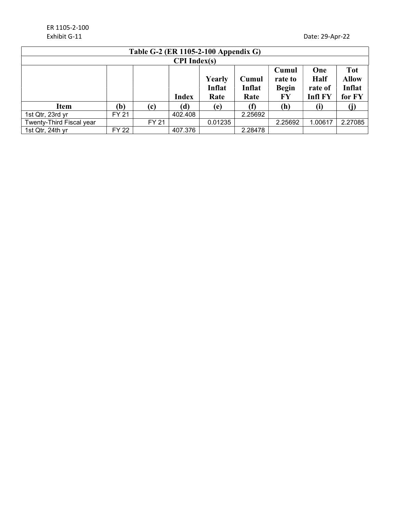| Table G-2 (ER 1105-2-100 Appendix G)                                                                                                |              |              |                     |         |         |                           |                                                |         |
|-------------------------------------------------------------------------------------------------------------------------------------|--------------|--------------|---------------------|---------|---------|---------------------------|------------------------------------------------|---------|
|                                                                                                                                     |              |              | <b>CPI</b> Index(s) |         |         |                           |                                                |         |
| Cumul<br>One<br><b>Half</b><br>Yearly<br>Cumul<br>rate to<br>Inflat<br>Inflat<br><b>Begin</b><br><b>Index</b><br>FY<br>Rate<br>Rate |              |              |                     |         |         | rate of<br><b>Infl FY</b> | <b>Tot</b><br><b>Allow</b><br>Inflat<br>for FY |         |
| <b>Item</b>                                                                                                                         | (b)          | (c)          | (d)                 | (e)     | (f)     | (h)                       | (i)                                            |         |
| 1st Qtr, 23rd yr                                                                                                                    | <b>FY 21</b> |              | 402.408             |         | 2.25692 |                           |                                                |         |
| Twenty-Third Fiscal year                                                                                                            |              | <b>FY 21</b> |                     | 0.01235 |         | 2.25692                   | 1.00617                                        | 2.27085 |
| 1st Qtr, 24th yr                                                                                                                    | FY 22        |              | 407.376             |         | 2.28478 |                           |                                                |         |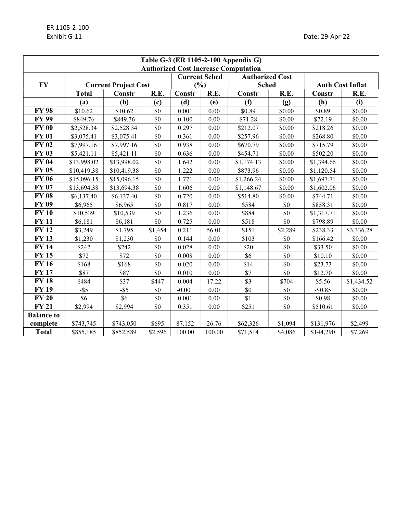| Table G-3 (ER 1105-2-100 Appendix G)        |                             |             |         |          |                      |                        |                         |            |            |
|---------------------------------------------|-----------------------------|-------------|---------|----------|----------------------|------------------------|-------------------------|------------|------------|
| <b>Authorized Cost Increase Computation</b> |                             |             |         |          |                      |                        |                         |            |            |
|                                             |                             |             |         |          | <b>Current Sched</b> | <b>Authorized Cost</b> |                         |            |            |
| <b>FY</b>                                   | <b>Current Project Cost</b> |             | (%)     |          | <b>Sched</b>         |                        | <b>Auth Cost Inflat</b> |            |            |
|                                             | <b>Total</b>                | Constr      | R.E.    | Constr   | R.E.                 | Constr                 | R.E.                    | Constr     | R.E.       |
|                                             | (a)                         | (b)         | (c)     | (d)      | (e)                  | (f)                    | (g)                     | (h)        | (i)        |
| <b>FY 98</b>                                | \$10.62                     | \$10.62     | \$0     | 0.001    | 0.00                 | \$0.89                 | \$0.00                  | \$0.89     | \$0.00     |
| <b>FY 99</b>                                | \$849.76                    | \$849.76    | \$0     | 0.100    | 0.00                 | \$71.28                | \$0.00                  | \$72.19    | \$0.00     |
| <b>FY 00</b>                                | \$2,528.34                  | \$2,528.34  | \$0     | 0.297    | $0.00\,$             | \$212.07               | \$0.00                  | \$218.26   | \$0.00     |
| <b>FY 01</b>                                | \$3,075.41                  | \$3,075.41  | \$0     | 0.361    | 0.00                 | \$257.96               | \$0.00                  | \$268.80   | \$0.00     |
| <b>FY 02</b>                                | \$7,997.16                  | \$7,997.16  | \$0     | 0.938    | 0.00                 | \$670.79               | \$0.00                  | \$715.79   | \$0.00     |
| <b>FY 03</b>                                | \$5,421.11                  | \$5,421.11  | \$0     | 0.636    | 0.00                 | \$454.71               | \$0.00                  | \$502.20   | \$0.00     |
| <b>FY 04</b>                                | \$13,998.02                 | \$13,998.02 | \$0     | 1.642    | 0.00                 | \$1,174.13             | \$0.00                  | \$1,394.66 | \$0.00     |
| <b>FY 05</b>                                | \$10,419.38                 | \$10,419.38 | $\$0$   | 1.222    | $0.00\,$             | \$873.96               | \$0.00                  | \$1,120.54 | \$0.00     |
| <b>FY 06</b>                                | \$15,096.15                 | \$15,096.15 | \$0     | 1.771    | 0.00                 | \$1,266.24             | \$0.00                  | \$1,697.71 | \$0.00     |
| <b>FY 07</b>                                | \$13,694.38                 | \$13,694.38 | \$0     | 1.606    | 0.00                 | \$1,148.67             | \$0.00                  | \$1,602.06 | \$0.00     |
| <b>FY 08</b>                                | \$6,137.40                  | \$6,137.40  | \$0     | 0.720    | 0.00                 | \$514.80               | \$0.00                  | \$744.71   | \$0.00     |
| <b>FY 09</b>                                | \$6,965                     | \$6,965     | \$0     | 0.817    | $0.00\,$             | \$584                  | $\$0$                   | \$858.31   | \$0.00     |
| <b>FY 10</b>                                | \$10,539                    | \$10,539    | \$0     | 1.236    | 0.00                 | \$884                  | \$0                     | \$1,317.71 | \$0.00     |
| <b>FY11</b>                                 | \$6,181                     | \$6,181     | \$0     | 0.725    | 0.00                 | \$518                  | \$0                     | \$798.89   | \$0.00     |
| <b>FY 12</b>                                | \$3,249                     | \$1,795     | \$1,454 | 0.211    | 56.01                | \$151                  | \$2,289                 | \$238.33   | \$3,336.28 |
| <b>FY 13</b>                                | \$1,230                     | \$1,230     | \$0     | 0.144    | 0.00                 | \$103                  | \$0                     | \$166.42   | \$0.00     |
| <b>FY 14</b>                                | \$242                       | \$242       | \$0     | 0.028    | 0.00                 | \$20                   | \$0                     | \$33.50    | \$0.00     |
| <b>FY15</b>                                 | \$72                        | \$72        | \$0     | 0.008    | 0.00                 | \$6                    | \$0                     | \$10.10    | \$0.00     |
| <b>FY 16</b>                                | \$168                       | \$168       | \$0     | 0.020    | 0.00                 | \$14                   | \$0                     | \$23.73    | \$0.00     |
| <b>FY17</b>                                 | \$87                        | \$87        | \$0     | 0.010    | 0.00                 | \$7                    | \$0                     | \$12.70    | \$0.00     |
| <b>FY18</b>                                 | \$484                       | \$37        | \$447   | 0.004    | 17.22                | \$3                    | \$704                   | \$5.56     | \$1,434.52 |
| <b>FY 19</b>                                | $-$ \$5                     | $-$ \$5     | \$0     | $-0.001$ | 0.00                 | \$0                    | \$0                     | $-$ \$0.85 | \$0.00     |
| <b>FY 20</b>                                | \$6                         | \$6         | \$0     | 0.001    | 0.00                 | \$1                    | \$0                     | \$0.98     | \$0.00     |
| <b>FY 21</b>                                | \$2,994                     | \$2,994     | \$0     | 0.351    | 0.00                 | \$251                  | \$0                     | \$510.61   | \$0.00     |
| <b>Balance to</b>                           |                             |             |         |          |                      |                        |                         |            |            |
| complete                                    | \$743,745                   | \$743,050   | \$695   | 87.152   | 26.76                | \$62,326               | \$1,094                 | \$131,976  | \$2,499    |
| <b>Total</b>                                | \$855,185                   | \$852,589   | \$2,596 | 100.00   | 100.00               | \$71,514               | \$4,086                 | \$144,290  | \$7,269    |